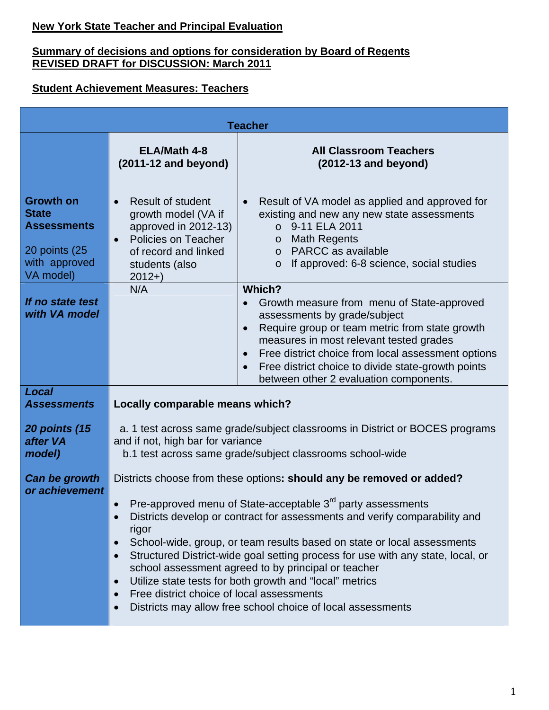# **New York State Teacher and Principal Evaluation**

#### **Summary of decisions and options for consideration by Board of Regents REVISED DRAFT for DISCUSSION: March 2011**

#### **Student Achievement Measures: Teachers**

| <b>Teacher</b>                                                                                        |                                                                                                                                                                                                                                                                                                                                                                                                                                                                                                                                                                                                                                                                                                                  |                                                                                                                                                                                                                                                                                                                                                                                             |  |  |  |
|-------------------------------------------------------------------------------------------------------|------------------------------------------------------------------------------------------------------------------------------------------------------------------------------------------------------------------------------------------------------------------------------------------------------------------------------------------------------------------------------------------------------------------------------------------------------------------------------------------------------------------------------------------------------------------------------------------------------------------------------------------------------------------------------------------------------------------|---------------------------------------------------------------------------------------------------------------------------------------------------------------------------------------------------------------------------------------------------------------------------------------------------------------------------------------------------------------------------------------------|--|--|--|
|                                                                                                       | <b>ELA/Math 4-8</b><br>$(2011-12$ and beyond)                                                                                                                                                                                                                                                                                                                                                                                                                                                                                                                                                                                                                                                                    | <b>All Classroom Teachers</b><br>$(2012-13$ and beyond)                                                                                                                                                                                                                                                                                                                                     |  |  |  |
| <b>Growth on</b><br><b>State</b><br><b>Assessments</b><br>20 points (25<br>with approved<br>VA model) | <b>Result of student</b><br>$\bullet$<br>growth model (VA if<br>approved in 2012-13)<br>Policies on Teacher<br>$\bullet$<br>of record and linked<br>students (also<br>$2012+)$                                                                                                                                                                                                                                                                                                                                                                                                                                                                                                                                   | Result of VA model as applied and approved for<br>$\bullet$<br>existing and new any new state assessments<br>$\circ$ 9-11 ELA 2011<br><b>Math Regents</b><br>$\circ$<br>o PARCC as available<br>If approved: 6-8 science, social studies<br>$\circ$                                                                                                                                         |  |  |  |
| If no state test<br>with VA model                                                                     | N/A                                                                                                                                                                                                                                                                                                                                                                                                                                                                                                                                                                                                                                                                                                              | Which?<br>Growth measure from menu of State-approved<br>$\bullet$<br>assessments by grade/subject<br>Require group or team metric from state growth<br>$\bullet$<br>measures in most relevant tested grades<br>Free district choice from local assessment options<br>$\bullet$<br>Free district choice to divide state-growth points<br>$\bullet$<br>between other 2 evaluation components. |  |  |  |
| <b>Local</b><br><b>Assessments</b>                                                                    | Locally comparable means which?                                                                                                                                                                                                                                                                                                                                                                                                                                                                                                                                                                                                                                                                                  |                                                                                                                                                                                                                                                                                                                                                                                             |  |  |  |
| <b>20 points (15</b><br>after VA<br>model)                                                            | a. 1 test across same grade/subject classrooms in District or BOCES programs<br>and if not, high bar for variance<br>b.1 test across same grade/subject classrooms school-wide                                                                                                                                                                                                                                                                                                                                                                                                                                                                                                                                   |                                                                                                                                                                                                                                                                                                                                                                                             |  |  |  |
| Can be growth<br>or achievement                                                                       | Districts choose from these options: should any be removed or added?<br>Pre-approved menu of State-acceptable 3 <sup>rd</sup> party assessments<br>Districts develop or contract for assessments and verify comparability and<br>$\bullet$<br>rigor<br>School-wide, group, or team results based on state or local assessments<br>$\bullet$<br>Structured District-wide goal setting process for use with any state, local, or<br>$\bullet$<br>school assessment agreed to by principal or teacher<br>Utilize state tests for both growth and "local" metrics<br>$\bullet$<br>Free district choice of local assessments<br>$\bullet$<br>Districts may allow free school choice of local assessments<br>$\bullet$ |                                                                                                                                                                                                                                                                                                                                                                                             |  |  |  |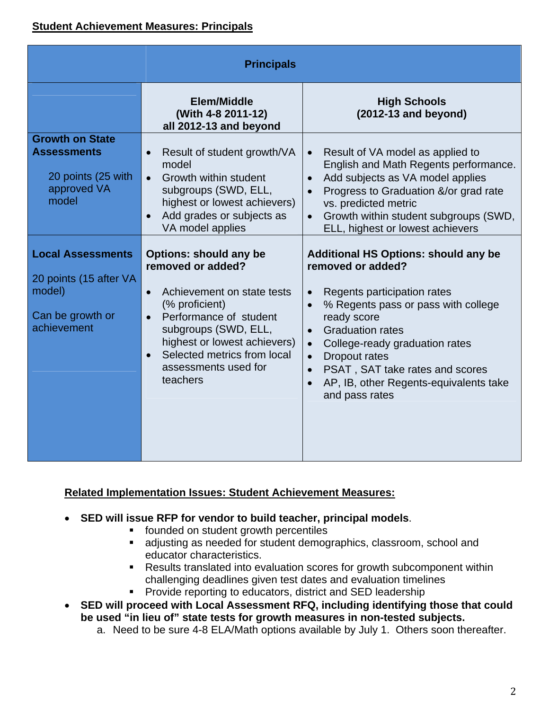| <b>Principals</b>                                                                               |                                                                                                                                                                                                                                                                                                |                                                                                                                                                                                                                                                                                                                                                                                               |  |  |
|-------------------------------------------------------------------------------------------------|------------------------------------------------------------------------------------------------------------------------------------------------------------------------------------------------------------------------------------------------------------------------------------------------|-----------------------------------------------------------------------------------------------------------------------------------------------------------------------------------------------------------------------------------------------------------------------------------------------------------------------------------------------------------------------------------------------|--|--|
|                                                                                                 | <b>Elem/Middle</b><br>(With 4-8 2011-12)<br>all 2012-13 and beyond                                                                                                                                                                                                                             | <b>High Schools</b><br>$(2012-13$ and beyond)                                                                                                                                                                                                                                                                                                                                                 |  |  |
| <b>Growth on State</b><br><b>Assessments</b><br>20 points (25 with<br>approved VA<br>model      | Result of student growth/VA<br>$\bullet$<br>model<br><b>Growth within student</b><br>$\bullet$<br>subgroups (SWD, ELL,<br>highest or lowest achievers)<br>Add grades or subjects as<br>VA model applies                                                                                        | Result of VA model as applied to<br>English and Math Regents performance.<br>Add subjects as VA model applies<br>Progress to Graduation &/or grad rate<br>vs. predicted metric<br>Growth within student subgroups (SWD,<br>ELL, highest or lowest achievers                                                                                                                                   |  |  |
| <b>Local Assessments</b><br>20 points (15 after VA<br>model)<br>Can be growth or<br>achievement | <b>Options: should any be</b><br>removed or added?<br>Achievement on state tests<br>$\bullet$<br>(% proficient)<br>Performance of student<br>$\bullet$<br>subgroups (SWD, ELL,<br>highest or lowest achievers)<br>Selected metrics from local<br>$\bullet$<br>assessments used for<br>teachers | <b>Additional HS Options: should any be</b><br>removed or added?<br>Regents participation rates<br>% Regents pass or pass with college<br>$\bullet$<br>ready score<br><b>Graduation rates</b><br>College-ready graduation rates<br>$\bullet$<br><b>Dropout rates</b><br>$\bullet$<br>PSAT, SAT take rates and scores<br>$\bullet$<br>AP, IB, other Regents-equivalents take<br>and pass rates |  |  |

### **Related Implementation Issues: Student Achievement Measures:**

- **SED will issue RFP for vendor to build teacher, principal models**.
	- **founded on student growth percentiles**
	- adjusting as needed for student demographics, classroom, school and educator characteristics.
	- **Results translated into evaluation scores for growth subcomponent within** challenging deadlines given test dates and evaluation timelines
	- **Provide reporting to educators, district and SED leadership**
- **SED will proceed with Local Assessment RFQ, including identifying those that could be used "in lieu of" state tests for growth measures in non-tested subjects.** 
	- a. Need to be sure 4-8 ELA/Math options available by July 1. Others soon thereafter.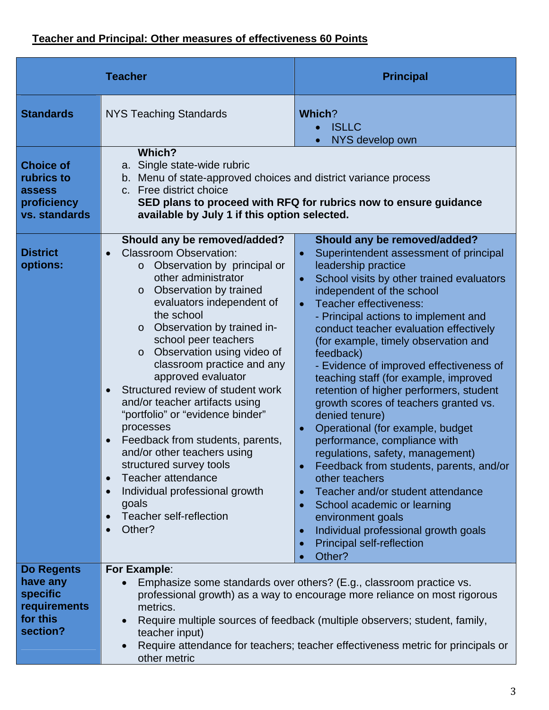# **Teacher and Principal: Other measures of effectiveness 60 Points**

| <b>Teacher</b>                                                                           |                                                                                                                                                                                                                                                                                                                                                                                                                                                                                                                                                                                                                                                                                                                                                                                                     | <b>Principal</b>                                                                                                                                                                                                                                                                                                                                                                                                                                                                                                                                                                                                                                                                                                                                                                                                                                                                                                 |  |  |
|------------------------------------------------------------------------------------------|-----------------------------------------------------------------------------------------------------------------------------------------------------------------------------------------------------------------------------------------------------------------------------------------------------------------------------------------------------------------------------------------------------------------------------------------------------------------------------------------------------------------------------------------------------------------------------------------------------------------------------------------------------------------------------------------------------------------------------------------------------------------------------------------------------|------------------------------------------------------------------------------------------------------------------------------------------------------------------------------------------------------------------------------------------------------------------------------------------------------------------------------------------------------------------------------------------------------------------------------------------------------------------------------------------------------------------------------------------------------------------------------------------------------------------------------------------------------------------------------------------------------------------------------------------------------------------------------------------------------------------------------------------------------------------------------------------------------------------|--|--|
| <b>Standards</b>                                                                         | <b>NYS Teaching Standards</b>                                                                                                                                                                                                                                                                                                                                                                                                                                                                                                                                                                                                                                                                                                                                                                       | Which?<br><b>ISLLC</b><br>NYS develop own<br>$\bullet$                                                                                                                                                                                                                                                                                                                                                                                                                                                                                                                                                                                                                                                                                                                                                                                                                                                           |  |  |
| <b>Choice of</b><br>rubrics to<br>assess<br>proficiency<br>vs. standards                 | Which?<br>a. Single state-wide rubric<br>b. Menu of state-approved choices and district variance process<br>c. Free district choice<br>SED plans to proceed with RFQ for rubrics now to ensure guidance<br>available by July 1 if this option selected.                                                                                                                                                                                                                                                                                                                                                                                                                                                                                                                                             |                                                                                                                                                                                                                                                                                                                                                                                                                                                                                                                                                                                                                                                                                                                                                                                                                                                                                                                  |  |  |
| <b>District</b><br>options:                                                              | Should any be removed/added?<br><b>Classroom Observation:</b><br>$\bullet$<br>Observation by principal or<br>$\circ$<br>other administrator<br>Observation by trained<br>$\circ$<br>evaluators independent of<br>the school<br>Observation by trained in-<br>$\circ$<br>school peer teachers<br>Observation using video of<br>$\circ$<br>classroom practice and any<br>approved evaluator<br>Structured review of student work<br>$\bullet$<br>and/or teacher artifacts using<br>"portfolio" or "evidence binder"<br>processes<br>Feedback from students, parents,<br>$\bullet$<br>and/or other teachers using<br>structured survey tools<br>Teacher attendance<br>$\bullet$<br>Individual professional growth<br>$\bullet$<br>goals<br>Teacher self-reflection<br>$\bullet$<br>Other?<br>$\bullet$ | Should any be removed/added?<br>Superintendent assessment of principal<br>$\bullet$<br>leadership practice<br>School visits by other trained evaluators<br>independent of the school<br>Teacher effectiveness:<br>$\bullet$<br>- Principal actions to implement and<br>conduct teacher evaluation effectively<br>(for example, timely observation and<br>feedback)<br>- Evidence of improved effectiveness of<br>teaching staff (for example, improved<br>retention of higher performers, student<br>growth scores of teachers granted vs.<br>denied tenure)<br>Operational (for example, budget<br>performance, compliance with<br>regulations, safety, management)<br>Feedback from students, parents, and/or<br>other teachers<br>Teacher and/or student attendance<br>School academic or learning<br>environment goals<br>Individual professional growth goals<br><b>Principal self-reflection</b><br>Other? |  |  |
| <b>Do Regents</b><br>have any<br><b>specific</b><br>requirements<br>for this<br>section? | For Example:<br>Emphasize some standards over others? (E.g., classroom practice vs.<br>professional growth) as a way to encourage more reliance on most rigorous<br>metrics.<br>Require multiple sources of feedback (multiple observers; student, family,<br>teacher input)<br>Require attendance for teachers; teacher effectiveness metric for principals or<br>other metric                                                                                                                                                                                                                                                                                                                                                                                                                     |                                                                                                                                                                                                                                                                                                                                                                                                                                                                                                                                                                                                                                                                                                                                                                                                                                                                                                                  |  |  |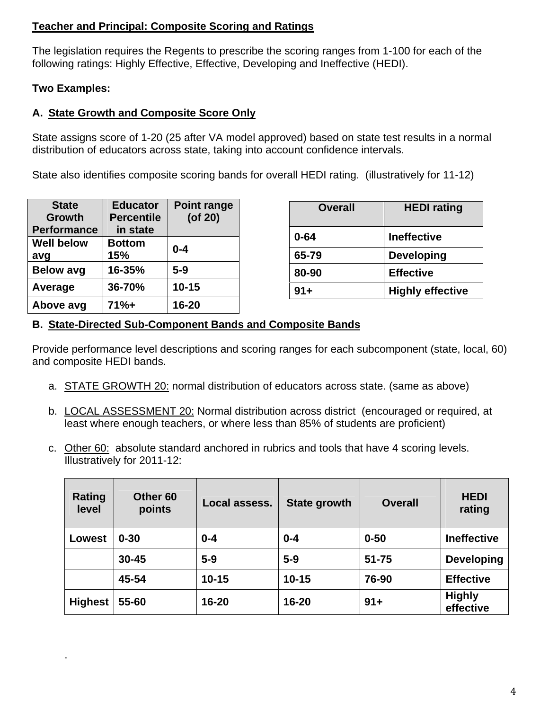### **Teacher and Principal: Composite Scoring and Ratings**

The legislation requires the Regents to prescribe the scoring ranges from 1-100 for each of the following ratings: Highly Effective, Effective, Developing and Ineffective (HEDI).

#### **Two Examples:**

.

# **A. State Growth and Composite Score Only**

State assigns score of 1-20 (25 after VA model approved) based on state test results in a normal distribution of educators across state, taking into account confidence intervals.

State also identifies composite scoring bands for overall HEDI rating. (illustratively for 11-12)

| <b>State</b>       | <b>Educator</b>   | <b>Point range</b> |
|--------------------|-------------------|--------------------|
| <b>Growth</b>      | <b>Percentile</b> | (of 20)            |
| <b>Performance</b> | in state          |                    |
| <b>Well below</b>  | <b>Bottom</b>     | $0 - 4$            |
| avg                | 15%               |                    |
| <b>Below avg</b>   | 16-35%            | $5-9$              |
| Average            | 36-70%            | $10 - 15$          |
| Above avg          | $71% +$           | 16-20              |

| <b>Overall</b> | <b>HEDI</b> rating      |
|----------------|-------------------------|
| $0 - 64$       | <b>Ineffective</b>      |
| 65-79          | <b>Developing</b>       |
| 80-90          | <b>Effective</b>        |
| $91 +$         | <b>Highly effective</b> |

### **B. State-Directed Sub-Component Bands and Composite Bands**

Provide performance level descriptions and scoring ranges for each subcomponent (state, local, 60) and composite HEDI bands.

- a. STATE GROWTH 20: normal distribution of educators across state. (same as above)
- b. LOCAL ASSESSMENT 20: Normal distribution across district (encouraged or required, at least where enough teachers, or where less than 85% of students are proficient)
- c. Other 60: absolute standard anchored in rubrics and tools that have 4 scoring levels. Illustratively for 2011-12:

| Rating<br>level | Other 60<br>points | Local assess. | State growth | <b>Overall</b> | <b>HEDI</b><br>rating      |
|-----------------|--------------------|---------------|--------------|----------------|----------------------------|
| Lowest          | $0 - 30$           | $0 - 4$       | $0 - 4$      | $0 - 50$       | <b>Ineffective</b>         |
|                 | $30 - 45$          | $5-9$         | $5-9$        | $51 - 75$      | <b>Developing</b>          |
|                 | 45-54              | $10 - 15$     | $10 - 15$    | 76-90          | <b>Effective</b>           |
| <b>Highest</b>  | 55-60              | $16 - 20$     | 16-20        | $91 +$         | <b>Highly</b><br>effective |